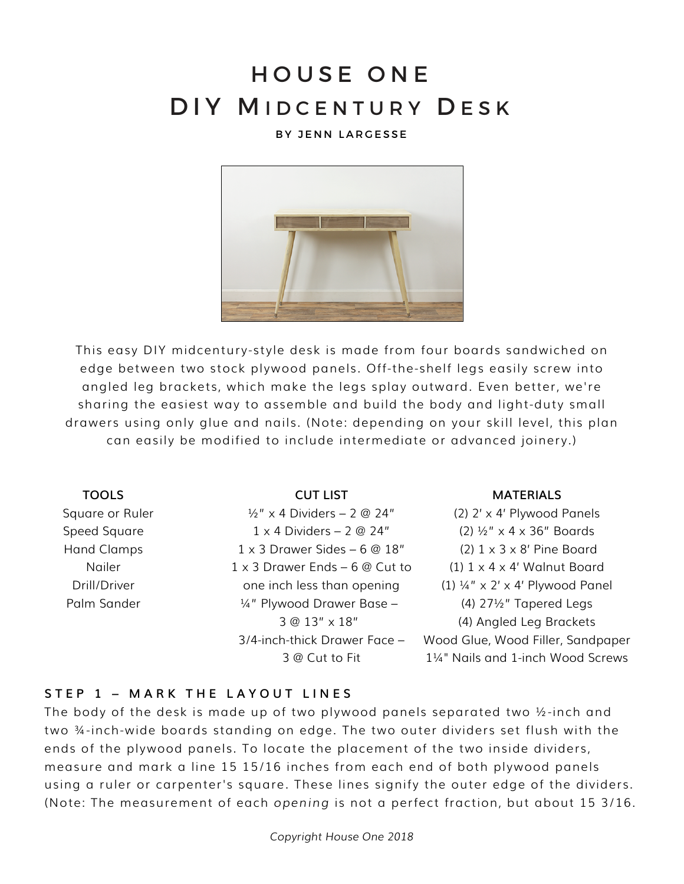# HOUSE ONE DIY MIDCENTURY DESK

#### BY JENN LARGESSE



This easy DIY midcentury-style desk is made from four boards sandwiched on edge between two stock plywood panels. Off-the-shelf legs easily screw into angled leg brackets, which make the legs splay outward. Even better, we're sharing the easiest way to assemble and build the body and light-duty small drawers using only glue and nails. (Note: depending on your skill level, this plan can easily be modified to include intermediate or advanced joinery.)

#### **TOOLS**

Square or Ruler Speed Square Hand Clamps Nailer Drill/Driver Palm Sander

#### **CUT LIST**

 $\frac{1}{2}$ " x 4 Dividers – 2 @ 24" 1 x 4 Dividers – 2 @ 24" 1 x 3 Drawer Sides – 6 @ 18" 1 x 3 Drawer Ends – 6 @ Cut to one inch less than opening ¼" Plywood Drawer Base – 3 @ 13" x 18" 3/4-inch-thick Drawer Face – 3 @ Cut to Fit

#### **MATERIALS**

(2) 2' x 4' Plywood Panels (2) ½" x 4 x 36" Boards (2) 1 x 3 x 8' Pine Board (1)  $1 \times 4 \times 4'$  Walnut Board (1)  $\frac{1}{4}$ " x 2' x 4' Plywood Panel (4) 27½" Tapered Legs (4) Angled Leg Brackets Wood Glue, Wood Filler, Sandpaper 1¼" Nails and 1-inch Wood Screws

#### **STEP 1 – MARK THE LAYOUT LINE S**

The body of the desk is made up of two plywood panels separated two ½-inch and two ¾-inch-wide boards standing on edge. The two outer dividers set flush with the ends of the plywood panels. To locate the placement of the two inside dividers, measure and mark a line 15 15/16 inches from each end of both plywood panels using a ruler or carpenter's square. These lines signify the outer edge of the dividers. (Note: The measurement of each *opening* is not a perfect fraction, but about 15 3/16.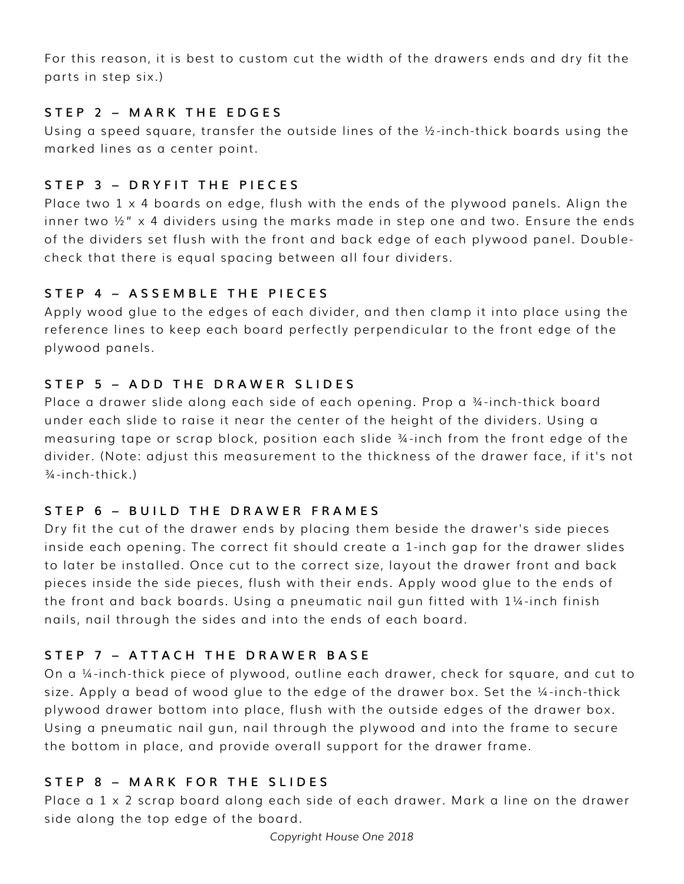For this reason, it is best to custom cut the width of the drawers ends and dry fit the parts in step six.)

# **STEP 2 – MARK THE EDGES**

Using a speed square, transfer the outside lines of the ½-inch-thick boards using the marked lines as a center point.

# **STEP 3 – DRYFIT THE PIECES**

Place two  $1 \times 4$  boards on edge, flush with the ends of the plywood panels. Align the inner two  $\frac{1}{2}$  x 4 dividers using the marks made in step one and two. Ensure the ends of the dividers set flush with the front and back edge of each plywood panel. Doublecheck that there is equal spacing between all four dividers.

# **STEP 4 – ASSEMBLE THE PIECES**

Apply wood glue to the edges of each divider, and then clamp it into place using the reference lines to keep each board perfectly perpendicular to the front edge of the plywood panels.

# **STEP 5 – ADD THE DRAWER SLIDE S**

Place a drawer slide along each side of each opening. Prop a ¾-inch-thick board under each slide to raise it near the center of the height of the dividers. Using a measuring tape or scrap block, position each slide ¾-inch from the front edge of the divider. (Note: adjust this measurement to the thickness of the drawer face, if it's not  $\frac{3}{4}$ -inch-thick.)

## **STEP 6 – BUILD THE DRAWER FRA MES**

Dry fit the cut of the drawer ends by placing them beside the drawer's side pieces inside each opening. The correct fit should create a 1-inch gap for the drawer slides to later be installed. Once cut to the correct size, layout the drawer front and back pieces inside the side pieces, flush with their ends. Apply wood glue to the ends of the front and back boards. Using a pneumatic nail gun fitted with 1¼-inch finish nails, nail through the sides and into the ends of each board.

# **STEP 7 – ATTACH THE DRAWER BA S E**

On a ¼-inch-thick piece of plywood, outline each drawer, check for square, and cut to size. Apply a bead of wood glue to the edge of the drawer box. Set the ¼-inch-thick plywood drawer bottom into place, flush with the outside edges of the drawer box. Using a pneumatic nail gun, nail through the plywood and into the frame to secure the bottom in place, and provide overall support for the drawer frame.

## **STEP 8 – MARK FOR THE SLIDES**

Place a 1 x 2 scrap board along each side of each drawer. Mark a line on the drawer side along the top edge of the board.